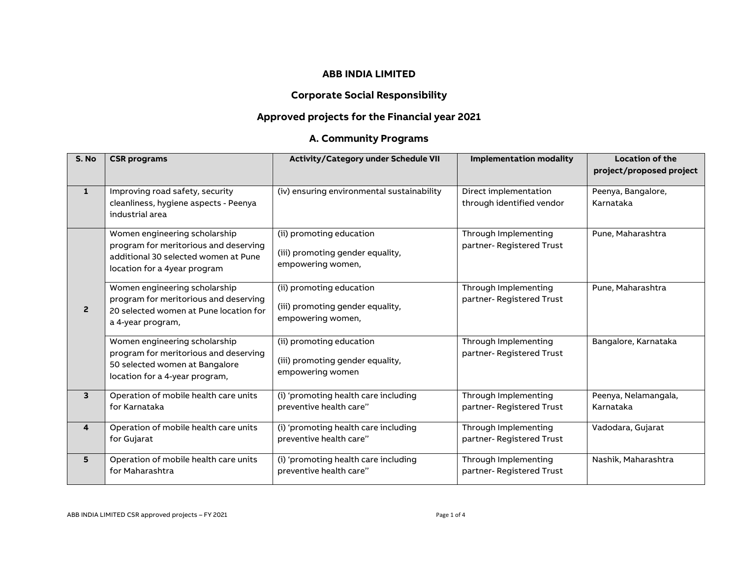#### **ABB INDIA LIMITED**

## **Corporate Social Responsibility**

## **Approved projects for the Financial year 2021**

## **A. Community Programs**

| S. No                   | <b>CSR</b> programs                                                                                                                            | Activity/Category under Schedule VII                                              | <b>Implementation modality</b>                     | <b>Location of the</b><br>project/proposed project |
|-------------------------|------------------------------------------------------------------------------------------------------------------------------------------------|-----------------------------------------------------------------------------------|----------------------------------------------------|----------------------------------------------------|
| $\mathbf{1}$            | Improving road safety, security<br>cleanliness, hygiene aspects - Peenya<br>industrial area                                                    | (iv) ensuring environmental sustainability                                        | Direct implementation<br>through identified vendor | Peenya, Bangalore,<br>Karnataka                    |
|                         | Women engineering scholarship<br>program for meritorious and deserving<br>additional 30 selected women at Pune<br>location for a 4year program | (ii) promoting education<br>(iii) promoting gender equality,<br>empowering women, | Through Implementing<br>partner- Registered Trust  | Pune, Maharashtra                                  |
| $\overline{2}$          | Women engineering scholarship<br>program for meritorious and deserving<br>20 selected women at Pune location for<br>a 4-year program,          | (ii) promoting education<br>(iii) promoting gender equality,<br>empowering women, | Through Implementing<br>partner-Registered Trust   | Pune, Maharashtra                                  |
|                         | Women engineering scholarship<br>program for meritorious and deserving<br>50 selected women at Bangalore<br>location for a 4-year program,     | (ii) promoting education<br>(iii) promoting gender equality,<br>empowering women  | Through Implementing<br>partner-Registered Trust   | Bangalore, Karnataka                               |
| $\overline{\mathbf{3}}$ | Operation of mobile health care units<br>for Karnataka                                                                                         | (i) 'promoting health care including<br>preventive health care"                   | Through Implementing<br>partner-Registered Trust   | Peenya, Nelamangala,<br>Karnataka                  |
| $\overline{\mathbf{A}}$ | Operation of mobile health care units<br>for Gujarat                                                                                           | (i) 'promoting health care including<br>preventive health care"                   | Through Implementing<br>partner-Registered Trust   | Vadodara, Gujarat                                  |
| 5                       | Operation of mobile health care units<br>for Maharashtra                                                                                       | (i) 'promoting health care including<br>preventive health care"                   | Through Implementing<br>partner-Registered Trust   | Nashik, Maharashtra                                |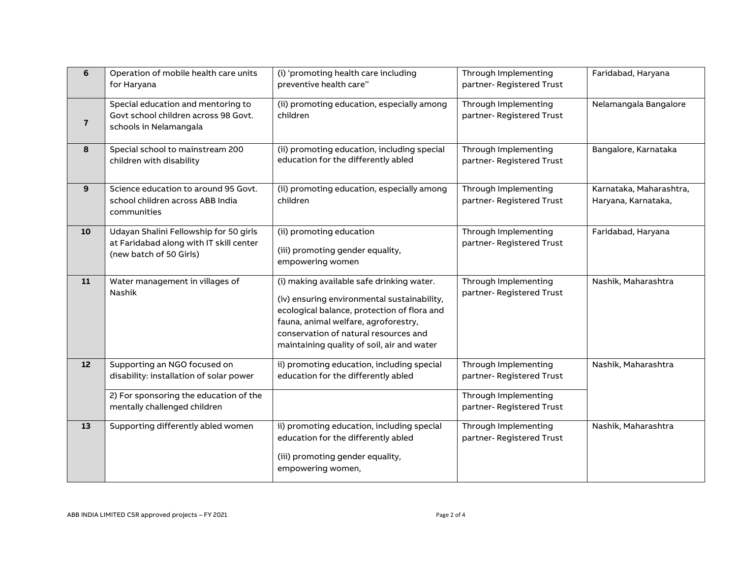| 6                       | Operation of mobile health care units<br>for Haryana                                                         | (i) 'promoting health care including<br>preventive health care"                                                                                                                                                                                                        | Through Implementing<br>partner- Registered Trust | Faridabad, Haryana                             |
|-------------------------|--------------------------------------------------------------------------------------------------------------|------------------------------------------------------------------------------------------------------------------------------------------------------------------------------------------------------------------------------------------------------------------------|---------------------------------------------------|------------------------------------------------|
| $\overline{\mathbf{r}}$ | Special education and mentoring to<br>Govt school children across 98 Govt.<br>schools in Nelamangala         | (ii) promoting education, especially among<br>children                                                                                                                                                                                                                 | Through Implementing<br>partner- Registered Trust | Nelamangala Bangalore                          |
| 8                       | Special school to mainstream 200<br>children with disability                                                 | (ii) promoting education, including special<br>education for the differently abled                                                                                                                                                                                     | Through Implementing<br>partner- Registered Trust | Bangalore, Karnataka                           |
| 9                       | Science education to around 95 Govt.<br>school children across ABB India<br>communities                      | (ii) promoting education, especially among<br>children                                                                                                                                                                                                                 | Through Implementing<br>partner-Registered Trust  | Karnataka, Maharashtra,<br>Haryana, Karnataka, |
| 10                      | Udayan Shalini Fellowship for 50 girls<br>at Faridabad along with IT skill center<br>(new batch of 50 Girls) | (ii) promoting education<br>(iii) promoting gender equality,<br>empowering women                                                                                                                                                                                       | Through Implementing<br>partner- Registered Trust | Faridabad, Haryana                             |
| 11                      | Water management in villages of<br>Nashik                                                                    | (i) making available safe drinking water.<br>(iv) ensuring environmental sustainability,<br>ecological balance, protection of flora and<br>fauna, animal welfare, agroforestry,<br>conservation of natural resources and<br>maintaining quality of soil, air and water | Through Implementing<br>partner- Registered Trust | Nashik, Maharashtra                            |
| 12                      | Supporting an NGO focused on<br>disability: installation of solar power                                      | ii) promoting education, including special<br>education for the differently abled                                                                                                                                                                                      | Through Implementing<br>partner-Registered Trust  | Nashik, Maharashtra                            |
|                         | 2) For sponsoring the education of the<br>mentally challenged children                                       |                                                                                                                                                                                                                                                                        | Through Implementing<br>partner- Registered Trust |                                                |
| 13                      | Supporting differently abled women                                                                           | ii) promoting education, including special<br>education for the differently abled<br>(iii) promoting gender equality,<br>empowering women,                                                                                                                             | Through Implementing<br>partner- Registered Trust | Nashik, Maharashtra                            |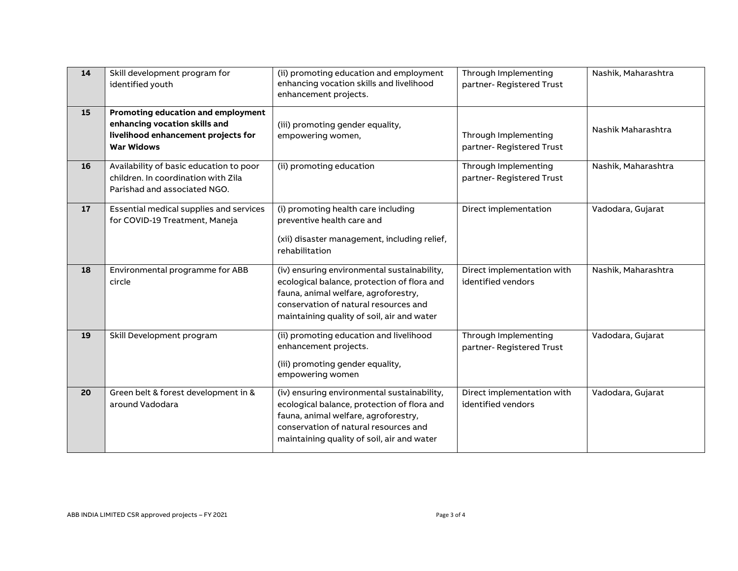| 14 | Skill development program for<br>identified youth                                                                               | (ii) promoting education and employment<br>enhancing vocation skills and livelihood<br>enhancement projects.                                                                                                              | Through Implementing<br>partner- Registered Trust | Nashik, Maharashtra |
|----|---------------------------------------------------------------------------------------------------------------------------------|---------------------------------------------------------------------------------------------------------------------------------------------------------------------------------------------------------------------------|---------------------------------------------------|---------------------|
| 15 | Promoting education and employment<br>enhancing vocation skills and<br>livelihood enhancement projects for<br><b>War Widows</b> | (iii) promoting gender equality,<br>empowering women,                                                                                                                                                                     | Through Implementing<br>partner- Registered Trust | Nashik Maharashtra  |
| 16 | Availability of basic education to poor<br>children. In coordination with Zila<br>Parishad and associated NGO.                  | (ii) promoting education                                                                                                                                                                                                  | Through Implementing<br>partner- Registered Trust | Nashik, Maharashtra |
| 17 | Essential medical supplies and services<br>for COVID-19 Treatment, Maneja                                                       | (i) promoting health care including<br>preventive health care and<br>(xii) disaster management, including relief,<br>rehabilitation                                                                                       | Direct implementation                             | Vadodara, Gujarat   |
| 18 | Environmental programme for ABB<br>circle                                                                                       | (iv) ensuring environmental sustainability,<br>ecological balance, protection of flora and<br>fauna, animal welfare, agroforestry,<br>conservation of natural resources and<br>maintaining quality of soil, air and water | Direct implementation with<br>identified vendors  | Nashik, Maharashtra |
| 19 | Skill Development program                                                                                                       | (ii) promoting education and livelihood<br>enhancement projects.<br>(iii) promoting gender equality,<br>empowering women                                                                                                  | Through Implementing<br>partner-Registered Trust  | Vadodara, Gujarat   |
| 20 | Green belt & forest development in &<br>around Vadodara                                                                         | (iv) ensuring environmental sustainability,<br>ecological balance, protection of flora and<br>fauna, animal welfare, agroforestry,<br>conservation of natural resources and<br>maintaining quality of soil, air and water | Direct implementation with<br>identified vendors  | Vadodara, Gujarat   |